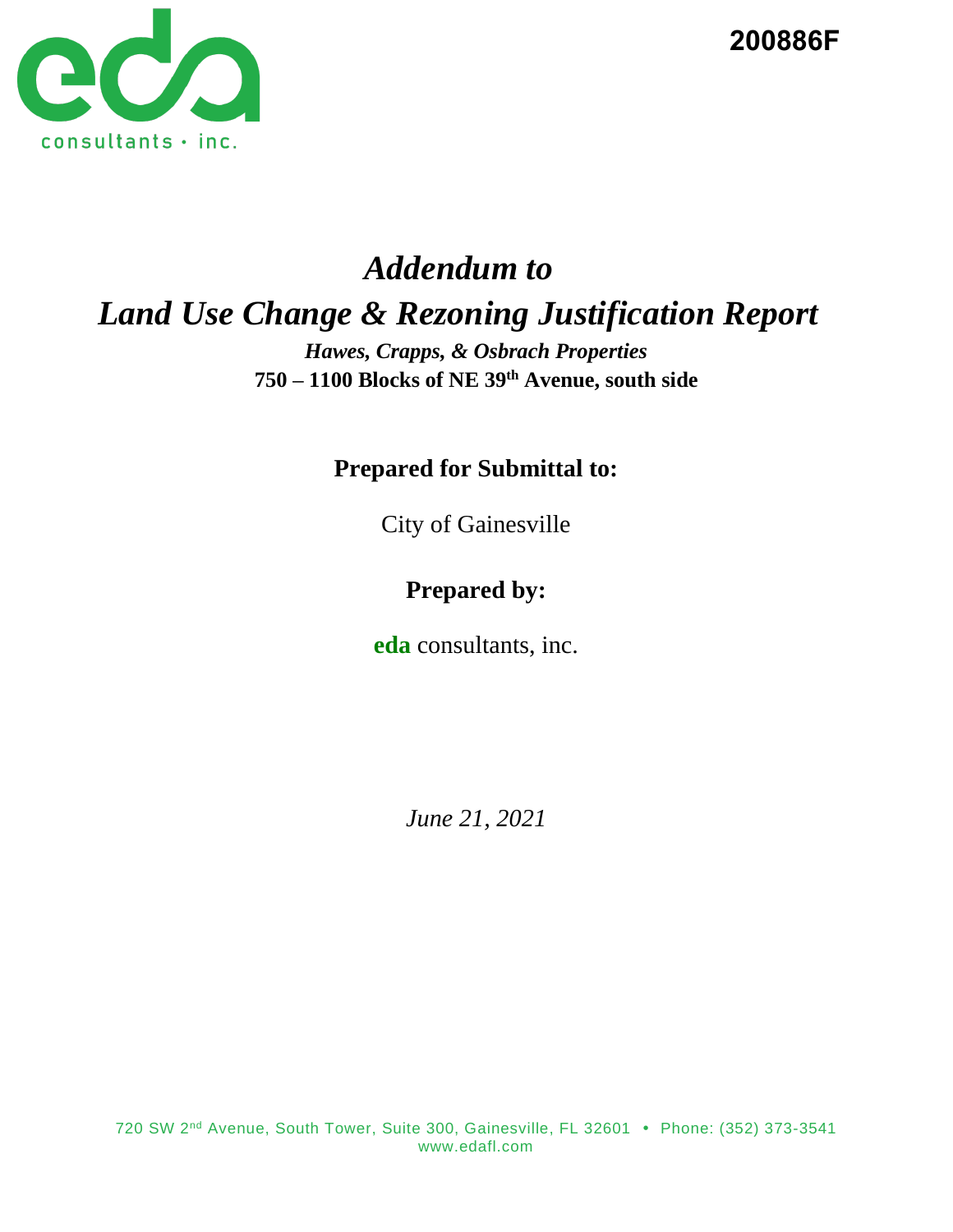

**200886F**

# *Addendum to Land Use Change & Rezoning Justification Report*

*Hawes, Crapps, & Osbrach Properties* **750 – 1100 Blocks of NE 39th Avenue, south side**

**Prepared for Submittal to:**

City of Gainesville

# **Prepared by:**

**eda** consultants, inc.

*June 21, 2021*

720 SW 2<sup>nd</sup> Avenue, South Tower, Suite 300, Gainesville, FL 32601 • Phone: (352) 373-3541 www.edafl.com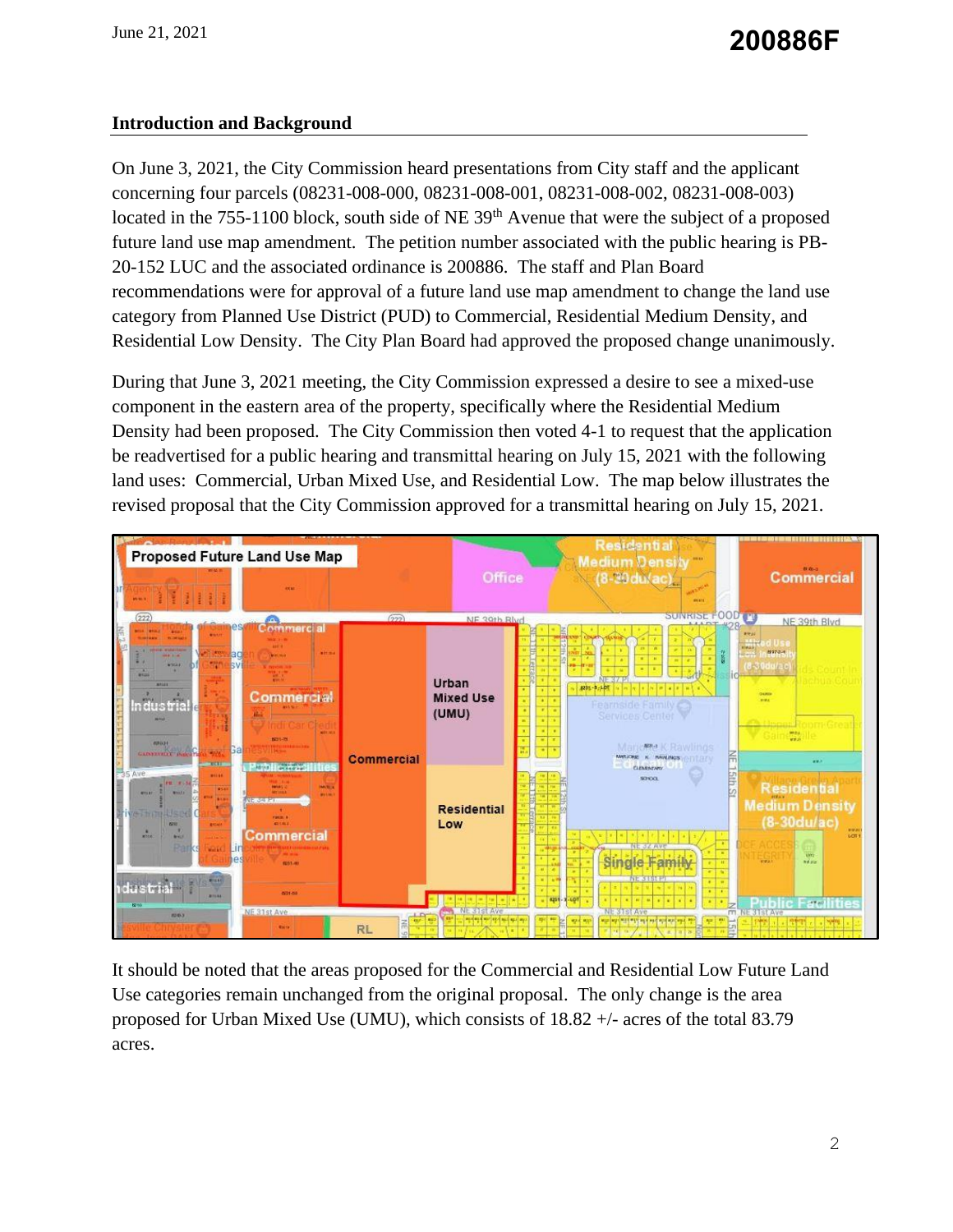# **Introduction and Background**

On June 3, 2021, the City Commission heard presentations from City staff and the applicant concerning four parcels (08231-008-000, 08231-008-001, 08231-008-002, 08231-008-003) located in the 755-1100 block, south side of NE 39<sup>th</sup> Avenue that were the subject of a proposed future land use map amendment. The petition number associated with the public hearing is PB-20-152 LUC and the associated ordinance is 200886. The staff and Plan Board recommendations were for approval of a future land use map amendment to change the land use category from Planned Use District (PUD) to Commercial, Residential Medium Density, and Residential Low Density. The City Plan Board had approved the proposed change unanimously.

During that June 3, 2021 meeting, the City Commission expressed a desire to see a mixed-use component in the eastern area of the property, specifically where the Residential Medium Density had been proposed. The City Commission then voted 4-1 to request that the application be readvertised for a public hearing and transmittal hearing on July 15, 2021 with the following land uses: Commercial, Urban Mixed Use, and Residential Low. The map below illustrates the revised proposal that the City Commission approved for a transmittal hearing on July 15, 2021.



It should be noted that the areas proposed for the Commercial and Residential Low Future Land Use categories remain unchanged from the original proposal. The only change is the area proposed for Urban Mixed Use (UMU), which consists of 18.82 +/- acres of the total 83.79 acres.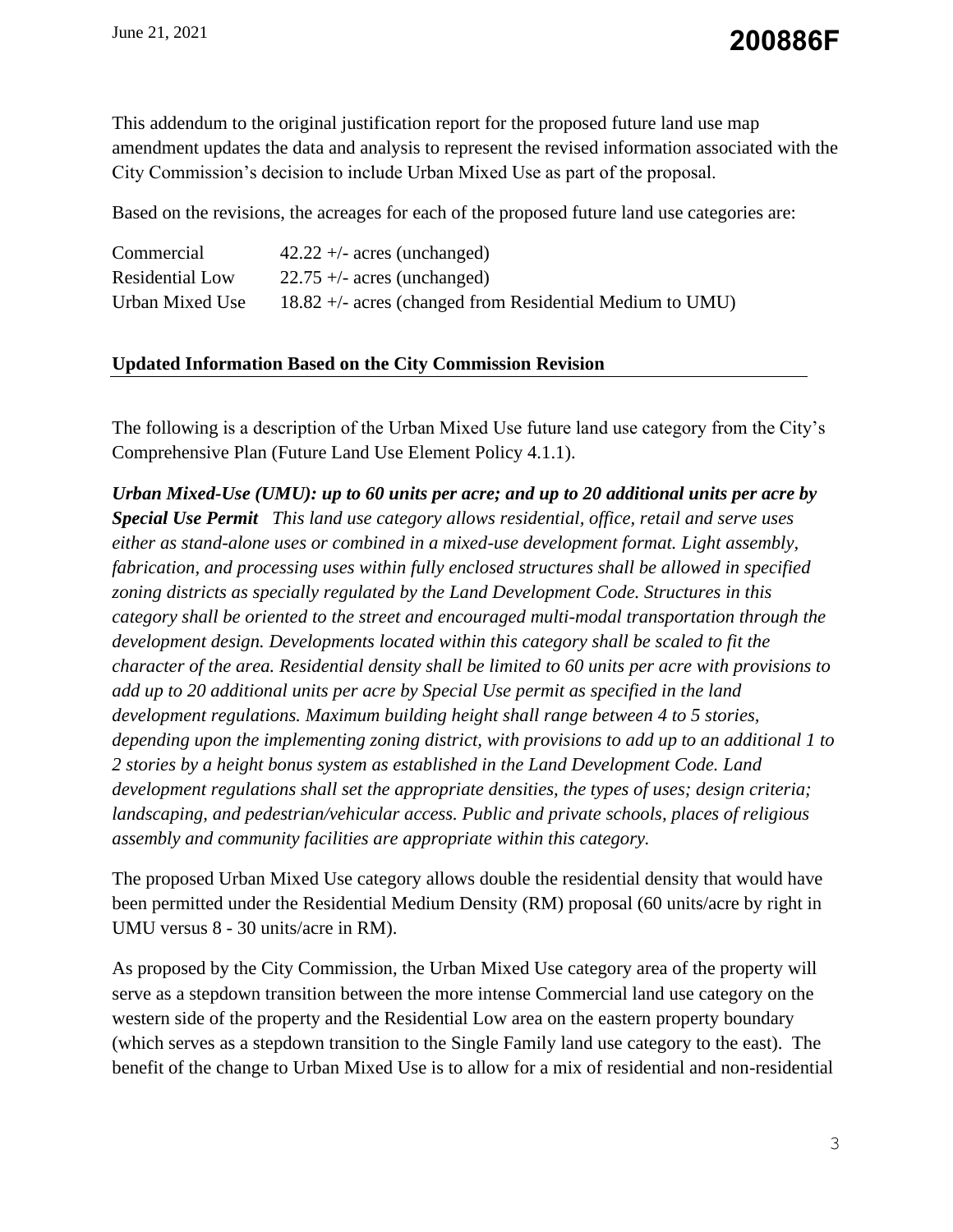# **200886F**

This addendum to the original justification report for the proposed future land use map amendment updates the data and analysis to represent the revised information associated with the City Commission's decision to include Urban Mixed Use as part of the proposal.

Based on the revisions, the acreages for each of the proposed future land use categories are:

| Commercial      | $42.22 +/-$ acres (unchanged)                              |
|-----------------|------------------------------------------------------------|
| Residential Low | $22.75 +/-$ acres (unchanged)                              |
| Urban Mixed Use | $18.82 +$ - acres (changed from Residential Medium to UMU) |

#### **Updated Information Based on the City Commission Revision**

The following is a description of the Urban Mixed Use future land use category from the City's Comprehensive Plan (Future Land Use Element Policy 4.1.1).

*Urban Mixed-Use (UMU): up to 60 units per acre; and up to 20 additional units per acre by Special Use Permit This land use category allows residential, office, retail and serve uses either as stand-alone uses or combined in a mixed-use development format. Light assembly, fabrication, and processing uses within fully enclosed structures shall be allowed in specified zoning districts as specially regulated by the Land Development Code. Structures in this category shall be oriented to the street and encouraged multi-modal transportation through the development design. Developments located within this category shall be scaled to fit the character of the area. Residential density shall be limited to 60 units per acre with provisions to add up to 20 additional units per acre by Special Use permit as specified in the land development regulations. Maximum building height shall range between 4 to 5 stories, depending upon the implementing zoning district, with provisions to add up to an additional 1 to 2 stories by a height bonus system as established in the Land Development Code. Land development regulations shall set the appropriate densities, the types of uses; design criteria; landscaping, and pedestrian/vehicular access. Public and private schools, places of religious assembly and community facilities are appropriate within this category.*

The proposed Urban Mixed Use category allows double the residential density that would have been permitted under the Residential Medium Density (RM) proposal (60 units/acre by right in UMU versus 8 - 30 units/acre in RM).

As proposed by the City Commission, the Urban Mixed Use category area of the property will serve as a stepdown transition between the more intense Commercial land use category on the western side of the property and the Residential Low area on the eastern property boundary (which serves as a stepdown transition to the Single Family land use category to the east). The benefit of the change to Urban Mixed Use is to allow for a mix of residential and non-residential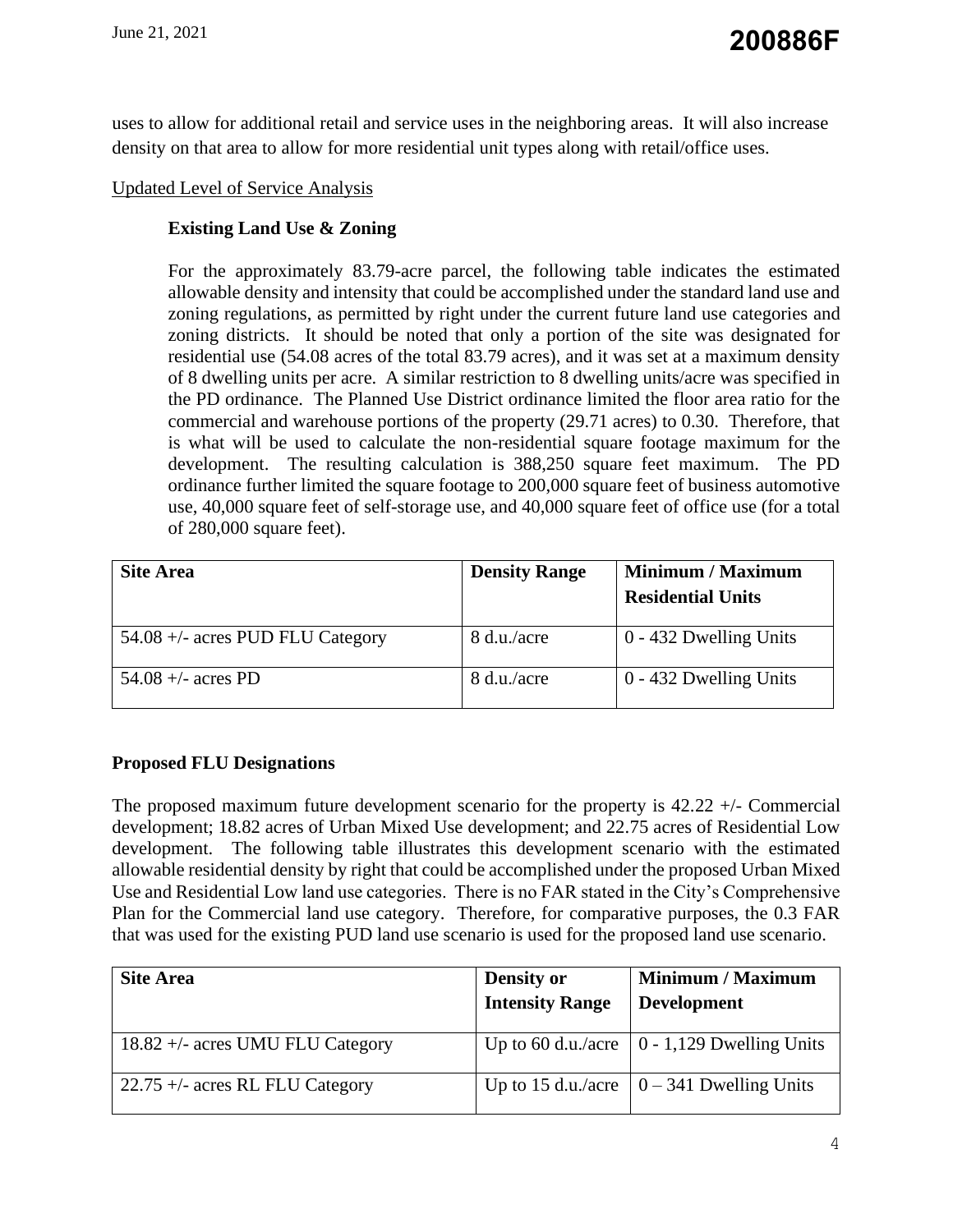uses to allow for additional retail and service uses in the neighboring areas. It will also increase density on that area to allow for more residential unit types along with retail/office uses.

# Updated Level of Service Analysis

# **Existing Land Use & Zoning**

For the approximately 83.79-acre parcel, the following table indicates the estimated allowable density and intensity that could be accomplished under the standard land use and zoning regulations, as permitted by right under the current future land use categories and zoning districts. It should be noted that only a portion of the site was designated for residential use (54.08 acres of the total 83.79 acres), and it was set at a maximum density of 8 dwelling units per acre. A similar restriction to 8 dwelling units/acre was specified in the PD ordinance. The Planned Use District ordinance limited the floor area ratio for the commercial and warehouse portions of the property (29.71 acres) to 0.30. Therefore, that is what will be used to calculate the non-residential square footage maximum for the development. The resulting calculation is 388,250 square feet maximum. The PD ordinance further limited the square footage to 200,000 square feet of business automotive use, 40,000 square feet of self-storage use, and 40,000 square feet of office use (for a total of 280,000 square feet).

| <b>Site Area</b>                 | <b>Density Range</b> | <b>Minimum / Maximum</b><br><b>Residential Units</b> |
|----------------------------------|----------------------|------------------------------------------------------|
| 54.08 +/- acres PUD FLU Category | 8 d.u./acre          | 0 - 432 Dwelling Units                               |
| 54.08 +/- acres PD               | 8 d.u./acre          | 0 - 432 Dwelling Units                               |

## **Proposed FLU Designations**

The proposed maximum future development scenario for the property is  $42.22 +1$ - Commercial development; 18.82 acres of Urban Mixed Use development; and 22.75 acres of Residential Low development. The following table illustrates this development scenario with the estimated allowable residential density by right that could be accomplished under the proposed Urban Mixed Use and Residential Low land use categories. There is no FAR stated in the City's Comprehensive Plan for the Commercial land use category. Therefore, for comparative purposes, the 0.3 FAR that was used for the existing PUD land use scenario is used for the proposed land use scenario.

| <b>Site Area</b>                   | <b>Density or</b><br><b>Intensity Range</b> | <b>Minimum / Maximum</b><br><b>Development</b>      |
|------------------------------------|---------------------------------------------|-----------------------------------------------------|
| $18.82 +/-$ acres UMU FLU Category |                                             | Up to 60 d.u./acre $\vert$ 0 - 1,129 Dwelling Units |
| $22.75 +/-$ acres RL FLU Category  |                                             | Up to 15 d.u./acre $\vert 0 - 341$ Dwelling Units   |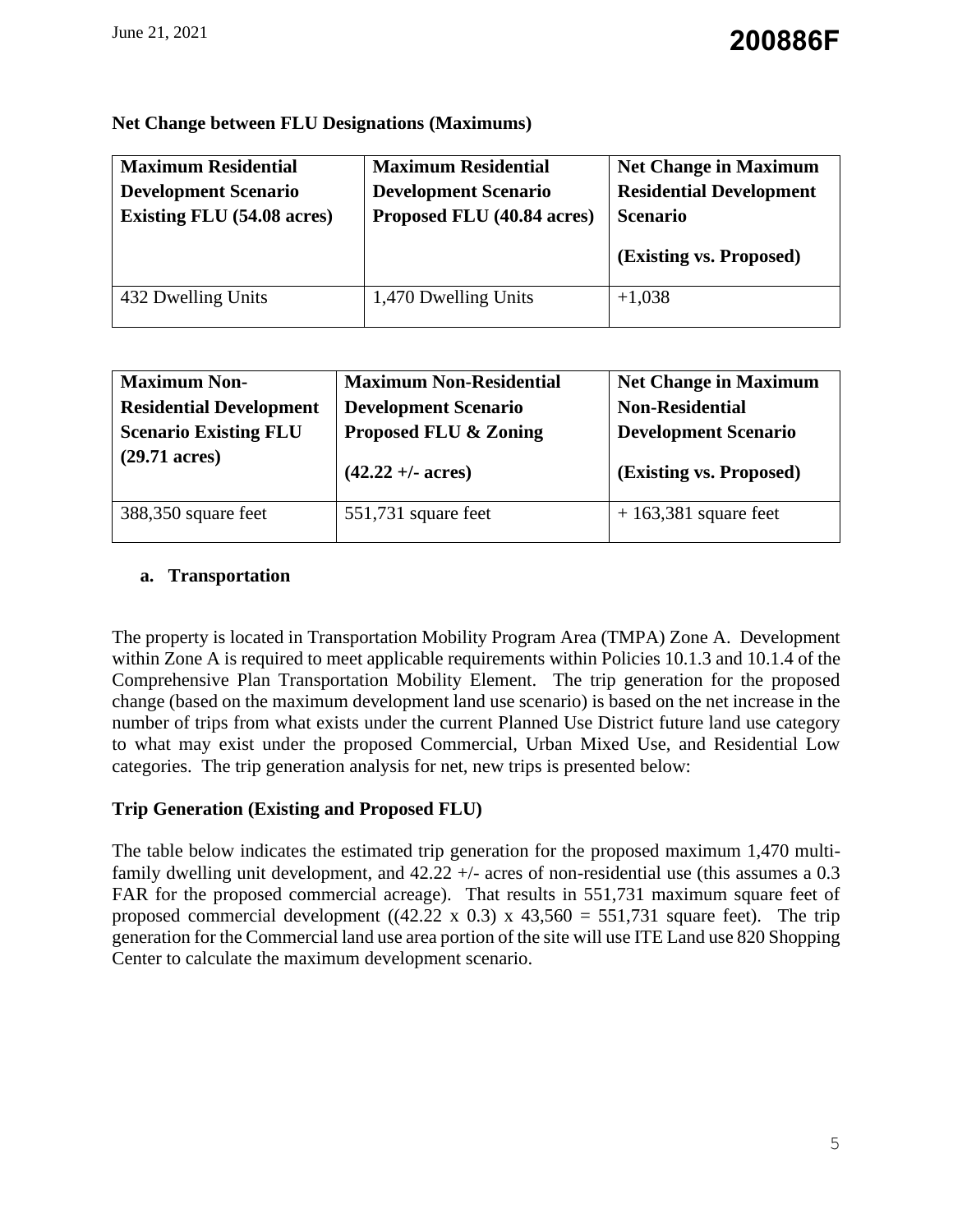|  |  |  |  | <b>Net Change between FLU Designations (Maximums)</b> |  |
|--|--|--|--|-------------------------------------------------------|--|
|--|--|--|--|-------------------------------------------------------|--|

| <b>Maximum Residential</b>        | <b>Maximum Residential</b>  | <b>Net Change in Maximum</b>   |
|-----------------------------------|-----------------------------|--------------------------------|
| <b>Development Scenario</b>       | <b>Development Scenario</b> | <b>Residential Development</b> |
| <b>Existing FLU</b> (54.08 acres) | Proposed FLU (40.84 acres)  | <b>Scenario</b>                |
|                                   |                             |                                |
|                                   |                             | (Existing vs. Proposed)        |

| <b>Maximum Non-</b>            | <b>Maximum Non-Residential</b> | <b>Net Change in Maximum</b> |
|--------------------------------|--------------------------------|------------------------------|
| <b>Residential Development</b> | <b>Development Scenario</b>    | <b>Non-Residential</b>       |
| <b>Scenario Existing FLU</b>   | Proposed FLU & Zoning          | <b>Development Scenario</b>  |
| $(29.71 \text{ acres})$        | $(42.22 + 4$ acres             | (Existing vs. Proposed)      |
|                                |                                |                              |

# **a. Transportation**

The property is located in Transportation Mobility Program Area (TMPA) Zone A. Development within Zone A is required to meet applicable requirements within Policies 10.1.3 and 10.1.4 of the Comprehensive Plan Transportation Mobility Element. The trip generation for the proposed change (based on the maximum development land use scenario) is based on the net increase in the number of trips from what exists under the current Planned Use District future land use category to what may exist under the proposed Commercial, Urban Mixed Use, and Residential Low categories. The trip generation analysis for net, new trips is presented below:

# **Trip Generation (Existing and Proposed FLU)**

The table below indicates the estimated trip generation for the proposed maximum 1,470 multifamily dwelling unit development, and 42.22 +/- acres of non-residential use (this assumes a 0.3 FAR for the proposed commercial acreage). That results in 551,731 maximum square feet of proposed commercial development ((42.22 x 0.3) x 43,560 = 551,731 square feet). The trip generation for the Commercial land use area portion of the site will use ITE Land use 820 Shopping Center to calculate the maximum development scenario.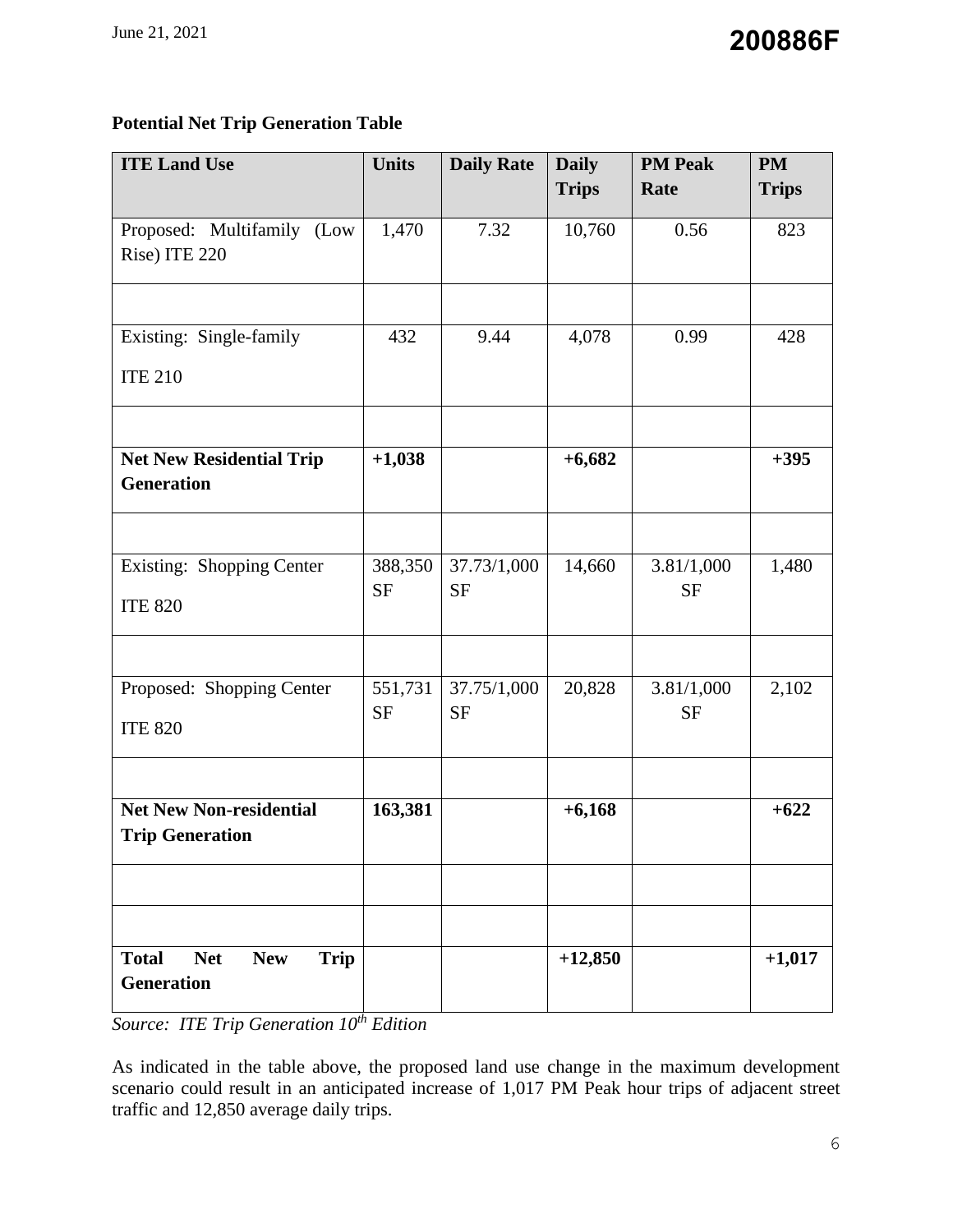# **Potential Net Trip Generation Table**

| <b>ITE Land Use</b>                                                          | <b>Units</b>         | <b>Daily Rate</b>        | <b>Daily</b> | <b>PM Peak</b>          | <b>PM</b>    |  |
|------------------------------------------------------------------------------|----------------------|--------------------------|--------------|-------------------------|--------------|--|
|                                                                              |                      |                          | <b>Trips</b> | Rate                    | <b>Trips</b> |  |
| Proposed: Multifamily (Low<br>Rise) ITE 220                                  | 1,470                | 7.32                     | 10,760       | 0.56                    | 823          |  |
|                                                                              |                      |                          |              |                         |              |  |
| Existing: Single-family                                                      | 432                  | 9.44                     | 4,078        | 0.99                    | 428          |  |
| <b>ITE 210</b>                                                               |                      |                          |              |                         |              |  |
| <b>Net New Residential Trip</b>                                              | $+1,038$             |                          | $+6,682$     |                         | $+395$       |  |
| <b>Generation</b>                                                            |                      |                          |              |                         |              |  |
|                                                                              |                      |                          |              |                         |              |  |
| Existing: Shopping Center                                                    | 388,350<br><b>SF</b> | 37.73/1,000<br><b>SF</b> | 14,660       | 3.81/1,000<br><b>SF</b> | 1,480        |  |
| <b>ITE 820</b>                                                               |                      |                          |              |                         |              |  |
|                                                                              |                      |                          |              |                         |              |  |
| Proposed: Shopping Center                                                    | 551,731<br><b>SF</b> | 37.75/1,000<br><b>SF</b> | 20,828       | 3.81/1,000<br><b>SF</b> | 2,102        |  |
| <b>ITE 820</b>                                                               |                      |                          |              |                         |              |  |
| <b>Net New Non-residential</b>                                               | 163,381              |                          | $+6,168$     |                         | $+622$       |  |
| <b>Trip Generation</b>                                                       |                      |                          |              |                         |              |  |
|                                                                              |                      |                          |              |                         |              |  |
|                                                                              |                      |                          |              |                         |              |  |
| <b>Total</b><br><b>Net</b><br><b>New</b><br><b>Trip</b><br><b>Generation</b> |                      |                          | $+12,850$    |                         | $+1,017$     |  |

*Source: ITE Trip Generation 10th Edition*

As indicated in the table above, the proposed land use change in the maximum development scenario could result in an anticipated increase of 1,017 PM Peak hour trips of adjacent street traffic and 12,850 average daily trips.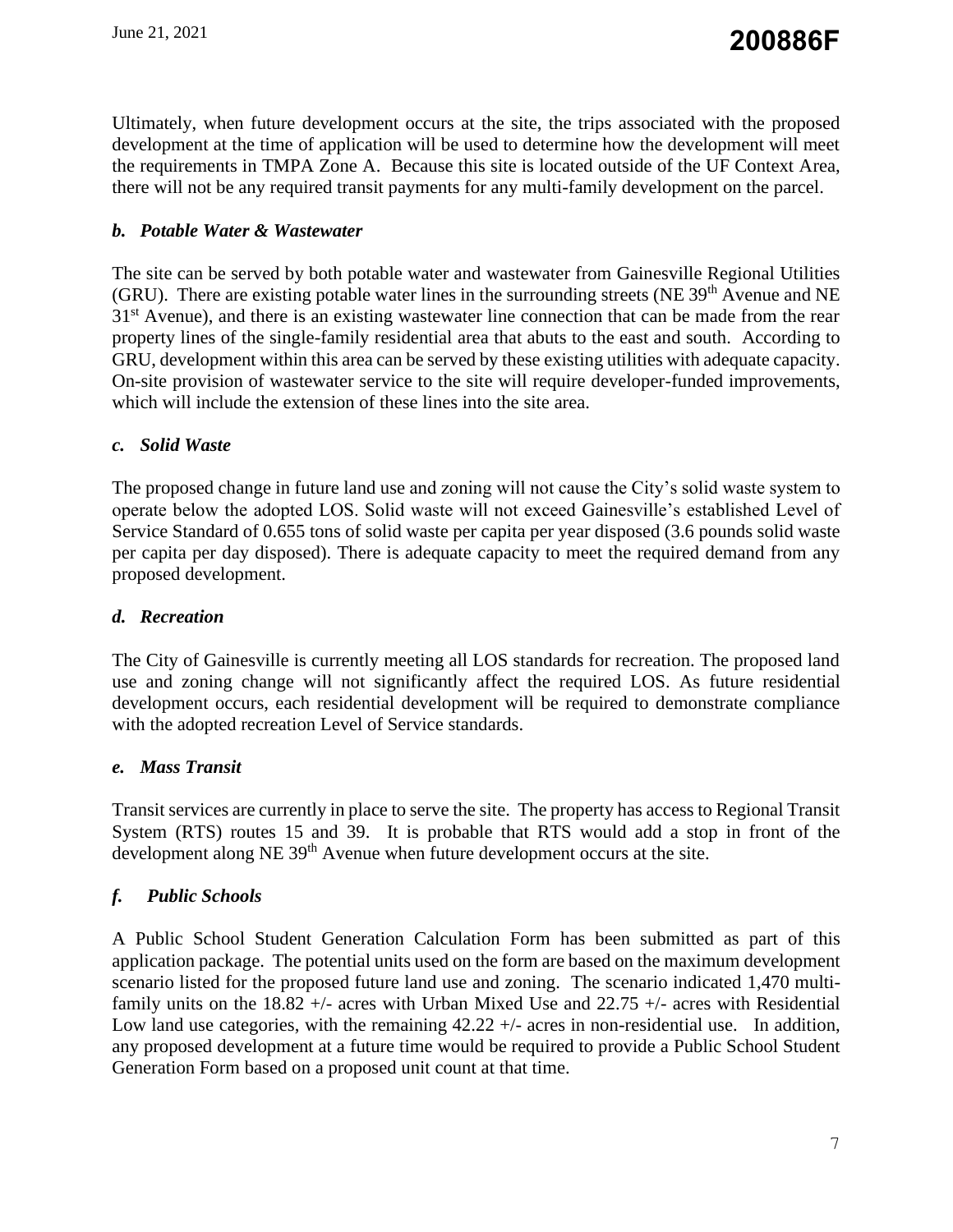Ultimately, when future development occurs at the site, the trips associated with the proposed development at the time of application will be used to determine how the development will meet the requirements in TMPA Zone A. Because this site is located outside of the UF Context Area, there will not be any required transit payments for any multi-family development on the parcel.

# *b. Potable Water & Wastewater*

The site can be served by both potable water and wastewater from Gainesville Regional Utilities (GRU). There are existing potable water lines in the surrounding streets (NE  $39<sup>th</sup>$  Avenue and NE 31<sup>st</sup> Avenue), and there is an existing wastewater line connection that can be made from the rear property lines of the single-family residential area that abuts to the east and south. According to GRU, development within this area can be served by these existing utilities with adequate capacity. On-site provision of wastewater service to the site will require developer-funded improvements, which will include the extension of these lines into the site area.

# *c. Solid Waste*

The proposed change in future land use and zoning will not cause the City's solid waste system to operate below the adopted LOS. Solid waste will not exceed Gainesville's established Level of Service Standard of 0.655 tons of solid waste per capita per year disposed (3.6 pounds solid waste per capita per day disposed). There is adequate capacity to meet the required demand from any proposed development.

# *d. Recreation*

The City of Gainesville is currently meeting all LOS standards for recreation. The proposed land use and zoning change will not significantly affect the required LOS. As future residential development occurs, each residential development will be required to demonstrate compliance with the adopted recreation Level of Service standards.

## *e. Mass Transit*

Transit services are currently in place to serve the site. The property has access to Regional Transit System (RTS) routes 15 and 39. It is probable that RTS would add a stop in front of the development along NE 39<sup>th</sup> Avenue when future development occurs at the site.

# *f. Public Schools*

A Public School Student Generation Calculation Form has been submitted as part of this application package. The potential units used on the form are based on the maximum development scenario listed for the proposed future land use and zoning. The scenario indicated 1,470 multifamily units on the  $18.82 +/-$  acres with Urban Mixed Use and  $22.75 +/-$  acres with Residential Low land use categories, with the remaining  $42.22 +/-$  acres in non-residential use. In addition, any proposed development at a future time would be required to provide a Public School Student Generation Form based on a proposed unit count at that time.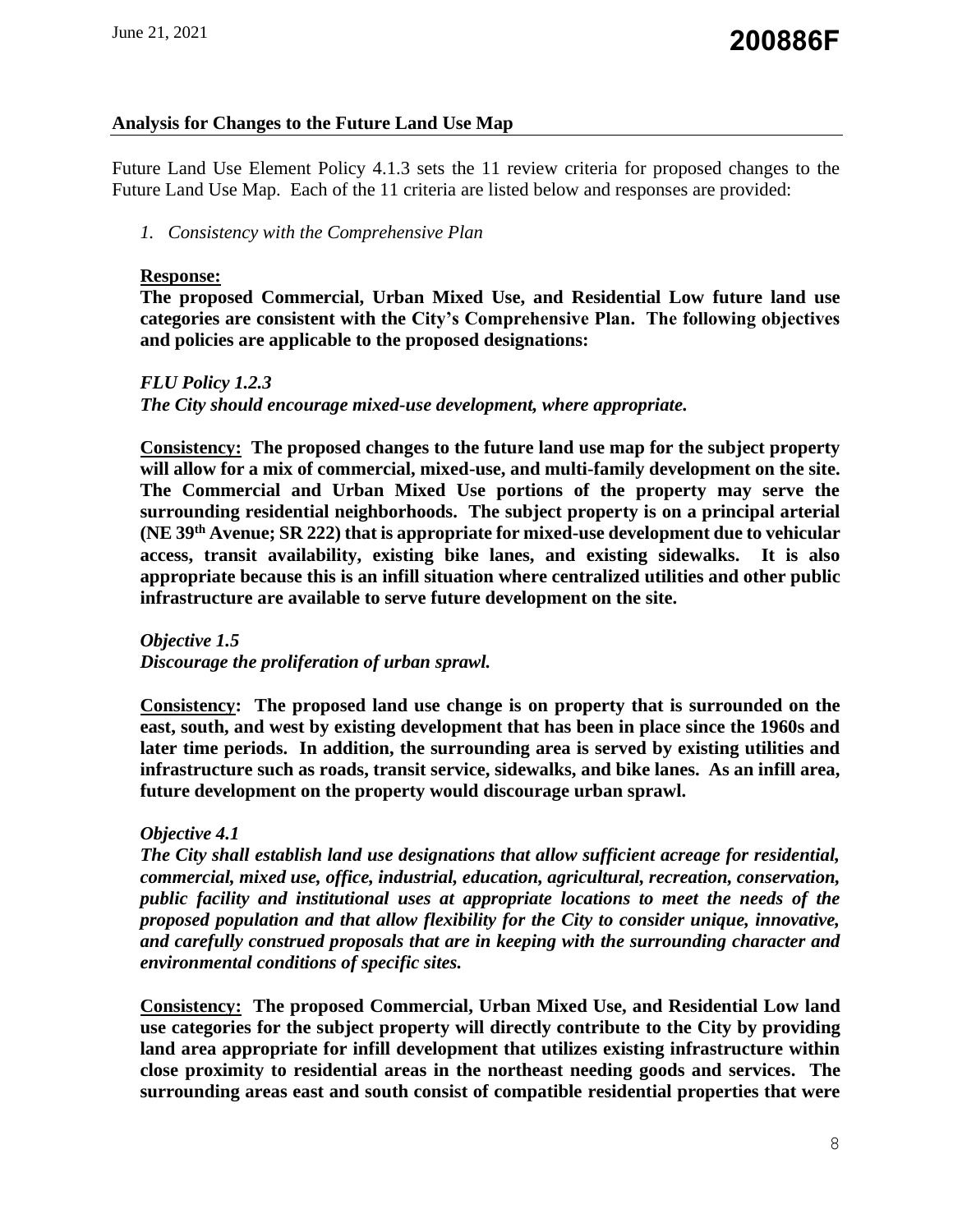# **Analysis for Changes to the Future Land Use Map**

Future Land Use Element Policy 4.1.3 sets the 11 review criteria for proposed changes to the Future Land Use Map. Each of the 11 criteria are listed below and responses are provided:

#### *1. Consistency with the Comprehensive Plan*

#### **Response:**

**The proposed Commercial, Urban Mixed Use, and Residential Low future land use categories are consistent with the City's Comprehensive Plan. The following objectives and policies are applicable to the proposed designations:**

# *FLU Policy 1.2.3 The City should encourage mixed-use development, where appropriate.*

**Consistency: The proposed changes to the future land use map for the subject property will allow for a mix of commercial, mixed-use, and multi-family development on the site. The Commercial and Urban Mixed Use portions of the property may serve the surrounding residential neighborhoods. The subject property is on a principal arterial (NE 39th Avenue; SR 222) that is appropriate for mixed-use development due to vehicular access, transit availability, existing bike lanes, and existing sidewalks. It is also appropriate because this is an infill situation where centralized utilities and other public infrastructure are available to serve future development on the site.**

*Objective 1.5 Discourage the proliferation of urban sprawl.* 

**Consistency: The proposed land use change is on property that is surrounded on the east, south, and west by existing development that has been in place since the 1960s and later time periods. In addition, the surrounding area is served by existing utilities and infrastructure such as roads, transit service, sidewalks, and bike lanes. As an infill area, future development on the property would discourage urban sprawl.**

## *Objective 4.1*

*The City shall establish land use designations that allow sufficient acreage for residential, commercial, mixed use, office, industrial, education, agricultural, recreation, conservation, public facility and institutional uses at appropriate locations to meet the needs of the proposed population and that allow flexibility for the City to consider unique, innovative, and carefully construed proposals that are in keeping with the surrounding character and environmental conditions of specific sites.* 

**Consistency: The proposed Commercial, Urban Mixed Use, and Residential Low land use categories for the subject property will directly contribute to the City by providing land area appropriate for infill development that utilizes existing infrastructure within close proximity to residential areas in the northeast needing goods and services. The surrounding areas east and south consist of compatible residential properties that were**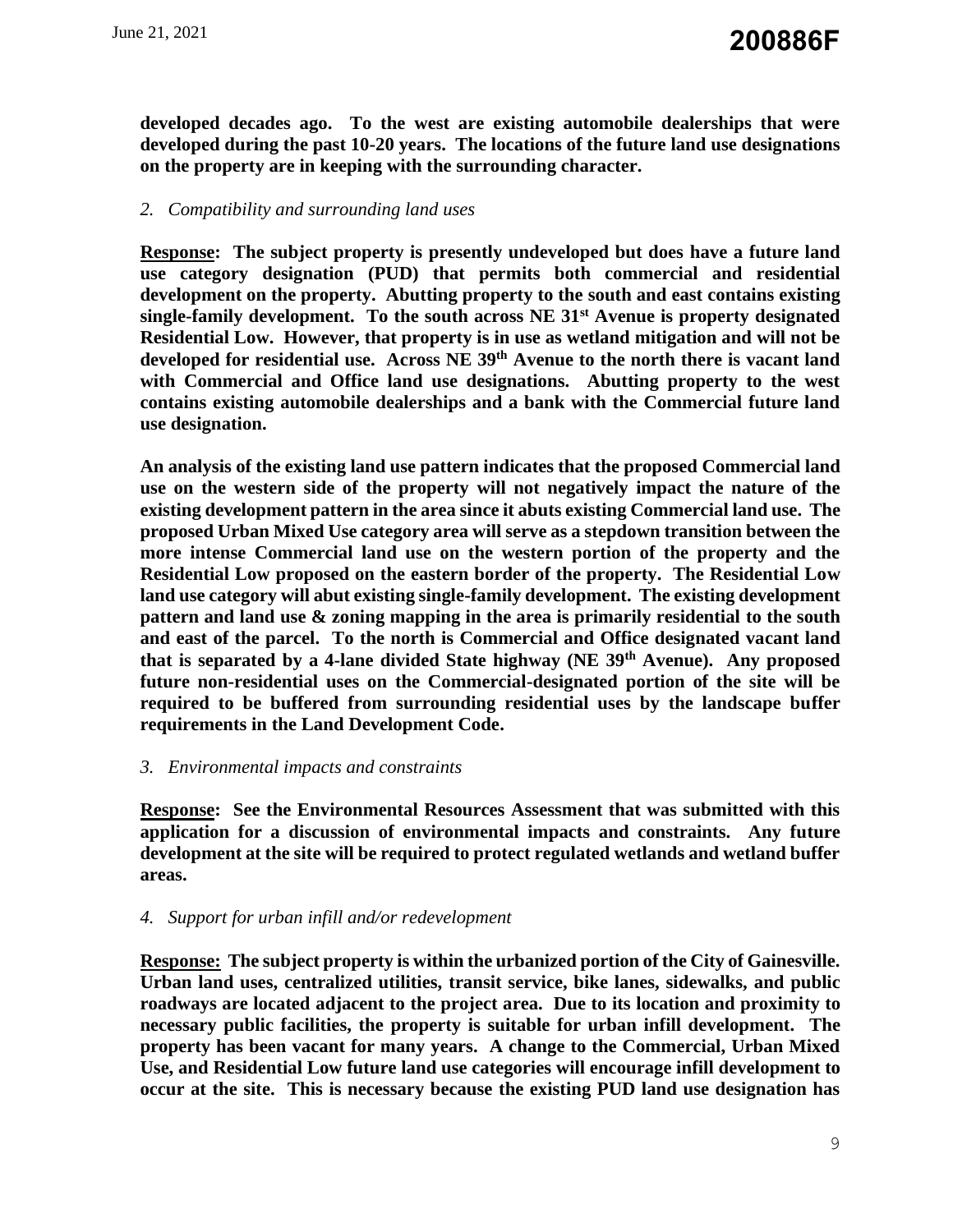**developed decades ago. To the west are existing automobile dealerships that were developed during the past 10-20 years. The locations of the future land use designations on the property are in keeping with the surrounding character.**

# *2. Compatibility and surrounding land uses*

**Response: The subject property is presently undeveloped but does have a future land use category designation (PUD) that permits both commercial and residential development on the property. Abutting property to the south and east contains existing single-family development. To the south across NE 31st Avenue is property designated Residential Low. However, that property is in use as wetland mitigation and will not be developed for residential use. Across NE 39th Avenue to the north there is vacant land with Commercial and Office land use designations. Abutting property to the west contains existing automobile dealerships and a bank with the Commercial future land use designation.** 

**An analysis of the existing land use pattern indicates that the proposed Commercial land use on the western side of the property will not negatively impact the nature of the existing development pattern in the area since it abuts existing Commercial land use. The proposed Urban Mixed Use category area will serve as a stepdown transition between the more intense Commercial land use on the western portion of the property and the Residential Low proposed on the eastern border of the property. The Residential Low land use category will abut existing single-family development. The existing development pattern and land use & zoning mapping in the area is primarily residential to the south and east of the parcel. To the north is Commercial and Office designated vacant land that is separated by a 4-lane divided State highway (NE 39th Avenue). Any proposed future non-residential uses on the Commercial-designated portion of the site will be required to be buffered from surrounding residential uses by the landscape buffer requirements in the Land Development Code.** 

## *3. Environmental impacts and constraints*

**Response: See the Environmental Resources Assessment that was submitted with this application for a discussion of environmental impacts and constraints. Any future development at the site will be required to protect regulated wetlands and wetland buffer areas.**

## *4. Support for urban infill and/or redevelopment*

**Response: The subject property is within the urbanized portion of the City of Gainesville. Urban land uses, centralized utilities, transit service, bike lanes, sidewalks, and public roadways are located adjacent to the project area. Due to its location and proximity to necessary public facilities, the property is suitable for urban infill development. The property has been vacant for many years. A change to the Commercial, Urban Mixed Use, and Residential Low future land use categories will encourage infill development to occur at the site. This is necessary because the existing PUD land use designation has**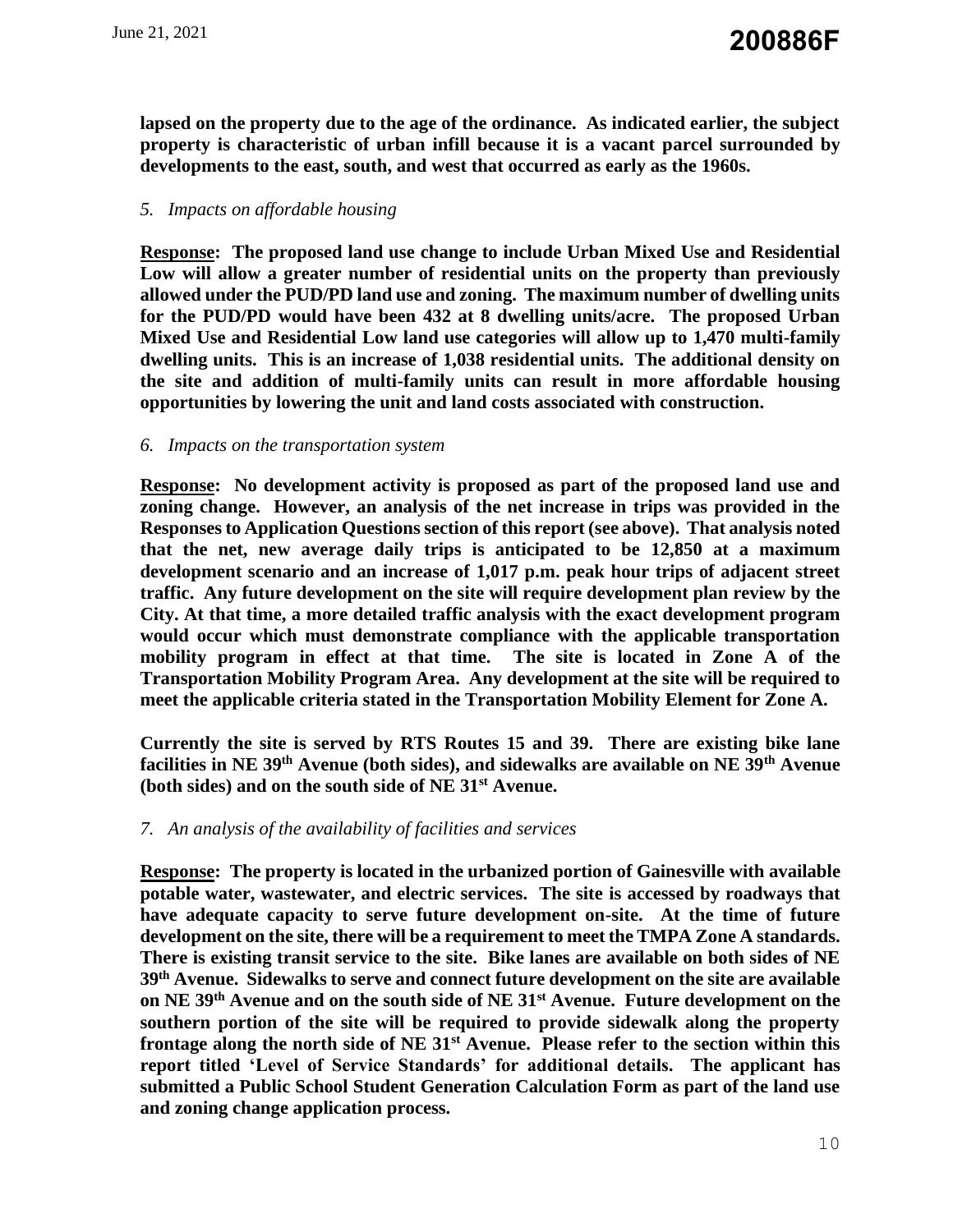**lapsed on the property due to the age of the ordinance. As indicated earlier, the subject property is characteristic of urban infill because it is a vacant parcel surrounded by developments to the east, south, and west that occurred as early as the 1960s.**

# *5. Impacts on affordable housing*

**Response: The proposed land use change to include Urban Mixed Use and Residential Low will allow a greater number of residential units on the property than previously allowed under the PUD/PD land use and zoning. The maximum number of dwelling units for the PUD/PD would have been 432 at 8 dwelling units/acre. The proposed Urban Mixed Use and Residential Low land use categories will allow up to 1,470 multi-family dwelling units. This is an increase of 1,038 residential units. The additional density on the site and addition of multi-family units can result in more affordable housing opportunities by lowering the unit and land costs associated with construction.**

#### *6. Impacts on the transportation system*

**Response: No development activity is proposed as part of the proposed land use and zoning change. However, an analysis of the net increase in trips was provided in the Responses to Application Questions section of this report (see above). That analysis noted that the net, new average daily trips is anticipated to be 12,850 at a maximum development scenario and an increase of 1,017 p.m. peak hour trips of adjacent street traffic. Any future development on the site will require development plan review by the City. At that time, a more detailed traffic analysis with the exact development program would occur which must demonstrate compliance with the applicable transportation mobility program in effect at that time. The site is located in Zone A of the Transportation Mobility Program Area. Any development at the site will be required to meet the applicable criteria stated in the Transportation Mobility Element for Zone A.** 

**Currently the site is served by RTS Routes 15 and 39. There are existing bike lane facilities in NE 39th Avenue (both sides), and sidewalks are available on NE 39th Avenue (both sides) and on the south side of NE 31st Avenue.**

## *7. An analysis of the availability of facilities and services*

**Response: The property is located in the urbanized portion of Gainesville with available potable water, wastewater, and electric services. The site is accessed by roadways that have adequate capacity to serve future development on-site. At the time of future development on the site, there will be a requirement to meet the TMPA Zone A standards. There is existing transit service to the site. Bike lanes are available on both sides of NE 39th Avenue. Sidewalks to serve and connect future development on the site are available on NE 39th Avenue and on the south side of NE 31st Avenue. Future development on the southern portion of the site will be required to provide sidewalk along the property frontage along the north side of NE 31st Avenue. Please refer to the section within this report titled 'Level of Service Standards' for additional details. The applicant has submitted a Public School Student Generation Calculation Form as part of the land use and zoning change application process.**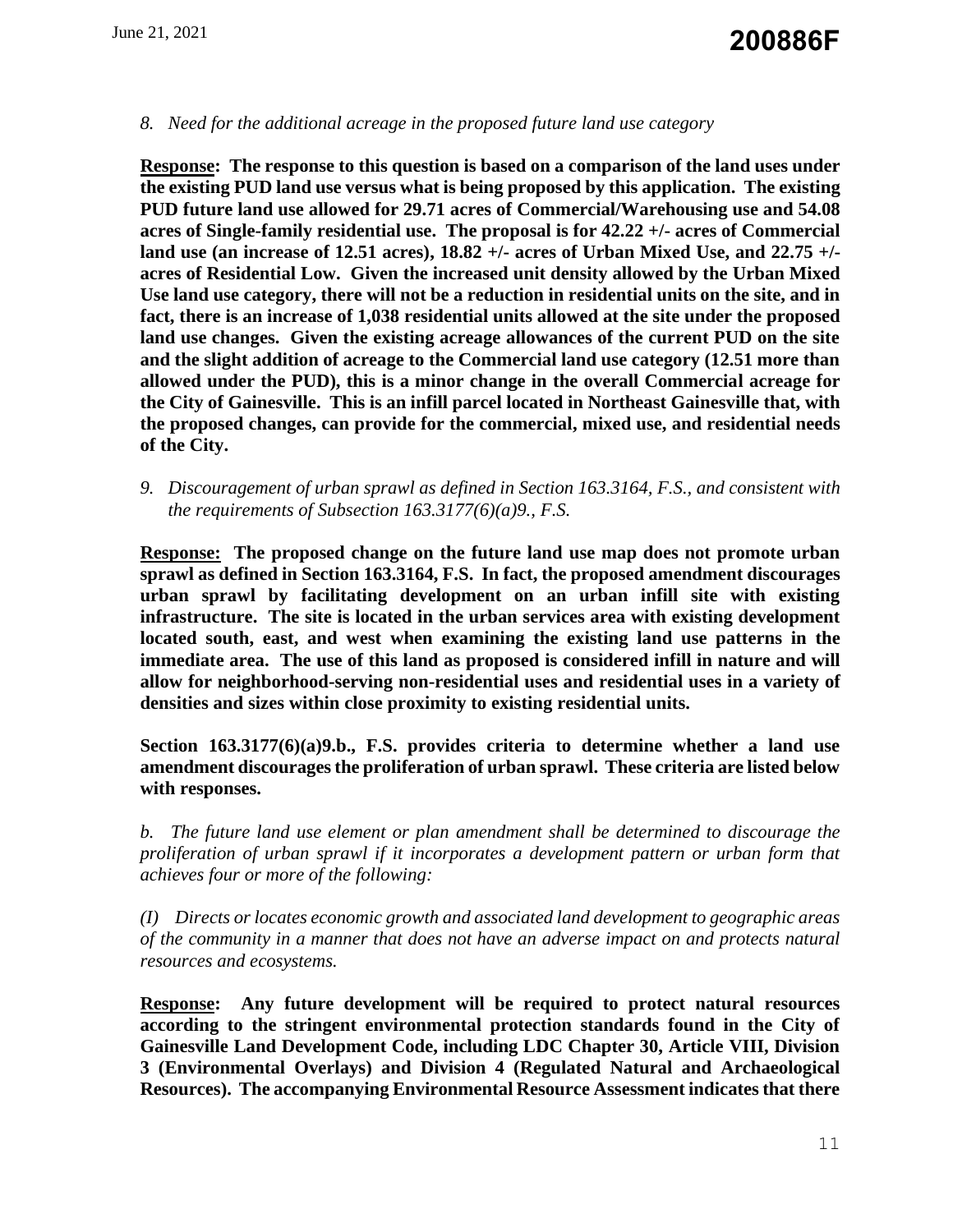### *8. Need for the additional acreage in the proposed future land use category*

**Response: The response to this question is based on a comparison of the land uses under the existing PUD land use versus what is being proposed by this application. The existing PUD future land use allowed for 29.71 acres of Commercial/Warehousing use and 54.08 acres of Single-family residential use. The proposal is for 42.22 +/- acres of Commercial land use (an increase of 12.51 acres), 18.82 +/- acres of Urban Mixed Use, and 22.75 +/ acres of Residential Low. Given the increased unit density allowed by the Urban Mixed Use land use category, there will not be a reduction in residential units on the site, and in fact, there is an increase of 1,038 residential units allowed at the site under the proposed land use changes. Given the existing acreage allowances of the current PUD on the site and the slight addition of acreage to the Commercial land use category (12.51 more than allowed under the PUD), this is a minor change in the overall Commercial acreage for the City of Gainesville. This is an infill parcel located in Northeast Gainesville that, with the proposed changes, can provide for the commercial, mixed use, and residential needs of the City.**

*9. Discouragement of urban sprawl as defined in Section 163.3164, F.S., and consistent with the requirements of Subsection 163.3177(6)(a)9., F.S.* 

**Response: The proposed change on the future land use map does not promote urban sprawl as defined in Section 163.3164, F.S. In fact, the proposed amendment discourages urban sprawl by facilitating development on an urban infill site with existing infrastructure. The site is located in the urban services area with existing development located south, east, and west when examining the existing land use patterns in the immediate area. The use of this land as proposed is considered infill in nature and will allow for neighborhood-serving non-residential uses and residential uses in a variety of densities and sizes within close proximity to existing residential units.** 

**Section 163.3177(6)(a)9.b., F.S. provides criteria to determine whether a land use amendment discourages the proliferation of urban sprawl. These criteria are listed below with responses.**

*b. The future land use element or plan amendment shall be determined to discourage the proliferation of urban sprawl if it incorporates a development pattern or urban form that achieves four or more of the following:*

*(I) Directs or locates economic growth and associated land development to geographic areas of the community in a manner that does not have an adverse impact on and protects natural resources and ecosystems.*

**Response: Any future development will be required to protect natural resources according to the stringent environmental protection standards found in the City of Gainesville Land Development Code, including LDC Chapter 30, Article VIII, Division 3 (Environmental Overlays) and Division 4 (Regulated Natural and Archaeological Resources). The accompanying Environmental Resource Assessment indicates that there**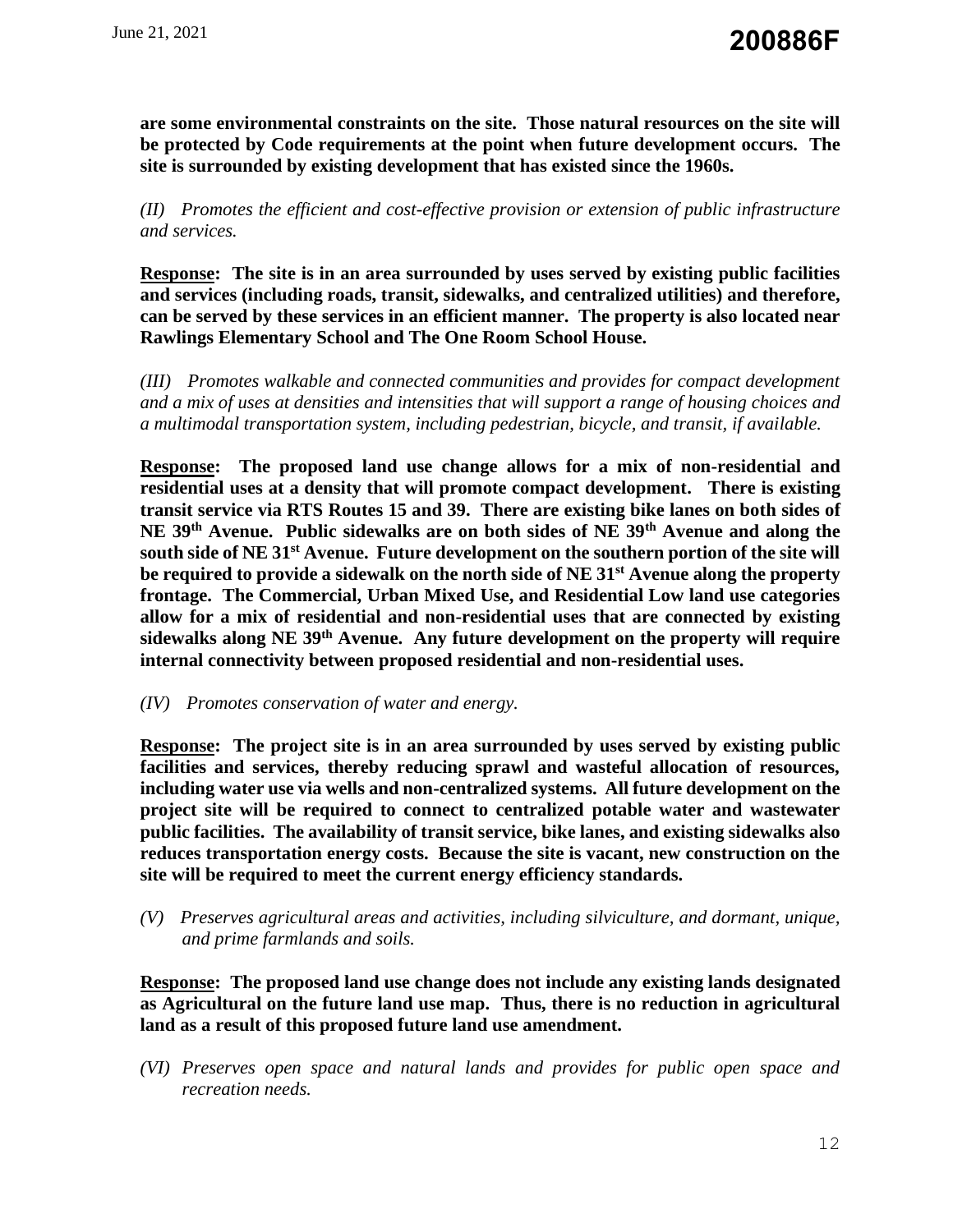**are some environmental constraints on the site. Those natural resources on the site will be protected by Code requirements at the point when future development occurs. The site is surrounded by existing development that has existed since the 1960s.**

*(II) Promotes the efficient and cost-effective provision or extension of public infrastructure and services.*

**Response: The site is in an area surrounded by uses served by existing public facilities and services (including roads, transit, sidewalks, and centralized utilities) and therefore, can be served by these services in an efficient manner. The property is also located near Rawlings Elementary School and The One Room School House.**

*(III) Promotes walkable and connected communities and provides for compact development and a mix of uses at densities and intensities that will support a range of housing choices and a multimodal transportation system, including pedestrian, bicycle, and transit, if available.*

**Response: The proposed land use change allows for a mix of non-residential and residential uses at a density that will promote compact development. There is existing transit service via RTS Routes 15 and 39. There are existing bike lanes on both sides of NE 39th Avenue. Public sidewalks are on both sides of NE 39th Avenue and along the south side of NE 31st Avenue. Future development on the southern portion of the site will be required to provide a sidewalk on the north side of NE 31st Avenue along the property frontage. The Commercial, Urban Mixed Use, and Residential Low land use categories allow for a mix of residential and non-residential uses that are connected by existing sidewalks along NE 39th Avenue. Any future development on the property will require internal connectivity between proposed residential and non-residential uses.**

*(IV) Promotes conservation of water and energy.*

**Response: The project site is in an area surrounded by uses served by existing public facilities and services, thereby reducing sprawl and wasteful allocation of resources, including water use via wells and non-centralized systems. All future development on the project site will be required to connect to centralized potable water and wastewater public facilities. The availability of transit service, bike lanes, and existing sidewalks also reduces transportation energy costs. Because the site is vacant, new construction on the site will be required to meet the current energy efficiency standards.**

*(V) Preserves agricultural areas and activities, including silviculture, and dormant, unique, and prime farmlands and soils.*

**Response: The proposed land use change does not include any existing lands designated as Agricultural on the future land use map. Thus, there is no reduction in agricultural land as a result of this proposed future land use amendment.**

*(VI) Preserves open space and natural lands and provides for public open space and recreation needs.*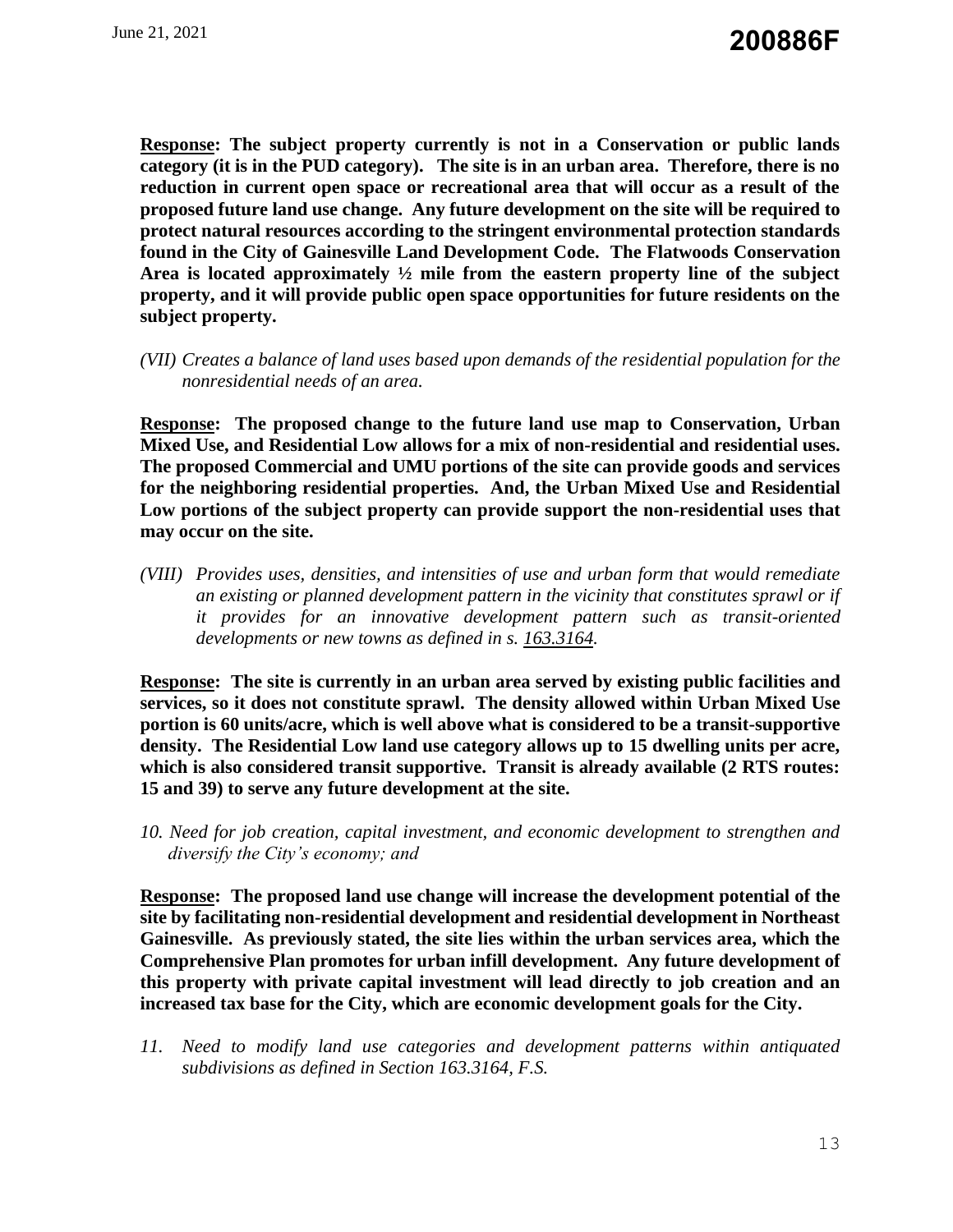**Response: The subject property currently is not in a Conservation or public lands category (it is in the PUD category). The site is in an urban area. Therefore, there is no reduction in current open space or recreational area that will occur as a result of the proposed future land use change. Any future development on the site will be required to protect natural resources according to the stringent environmental protection standards found in the City of Gainesville Land Development Code. The Flatwoods Conservation Area is located approximately ½ mile from the eastern property line of the subject property, and it will provide public open space opportunities for future residents on the subject property.**

*(VII) Creates a balance of land uses based upon demands of the residential population for the nonresidential needs of an area.*

**Response: The proposed change to the future land use map to Conservation, Urban Mixed Use, and Residential Low allows for a mix of non-residential and residential uses. The proposed Commercial and UMU portions of the site can provide goods and services for the neighboring residential properties. And, the Urban Mixed Use and Residential Low portions of the subject property can provide support the non-residential uses that may occur on the site.**

*(VIII) Provides uses, densities, and intensities of use and urban form that would remediate an existing or planned development pattern in the vicinity that constitutes sprawl or if it provides for an innovative development pattern such as transit-oriented developments or new towns as defined in s. [163.3164.](http://www.flsenate.gov/Laws/Statutes/2012/163.3164)*

**Response: The site is currently in an urban area served by existing public facilities and services, so it does not constitute sprawl. The density allowed within Urban Mixed Use portion is 60 units/acre, which is well above what is considered to be a transit-supportive density. The Residential Low land use category allows up to 15 dwelling units per acre, which is also considered transit supportive. Transit is already available (2 RTS routes: 15 and 39) to serve any future development at the site.** 

*10. Need for job creation, capital investment, and economic development to strengthen and diversify the City's economy; and* 

**Response: The proposed land use change will increase the development potential of the site by facilitating non-residential development and residential development in Northeast Gainesville. As previously stated, the site lies within the urban services area, which the Comprehensive Plan promotes for urban infill development. Any future development of this property with private capital investment will lead directly to job creation and an increased tax base for the City, which are economic development goals for the City.**

*11. Need to modify land use categories and development patterns within antiquated subdivisions as defined in Section 163.3164, F.S.*